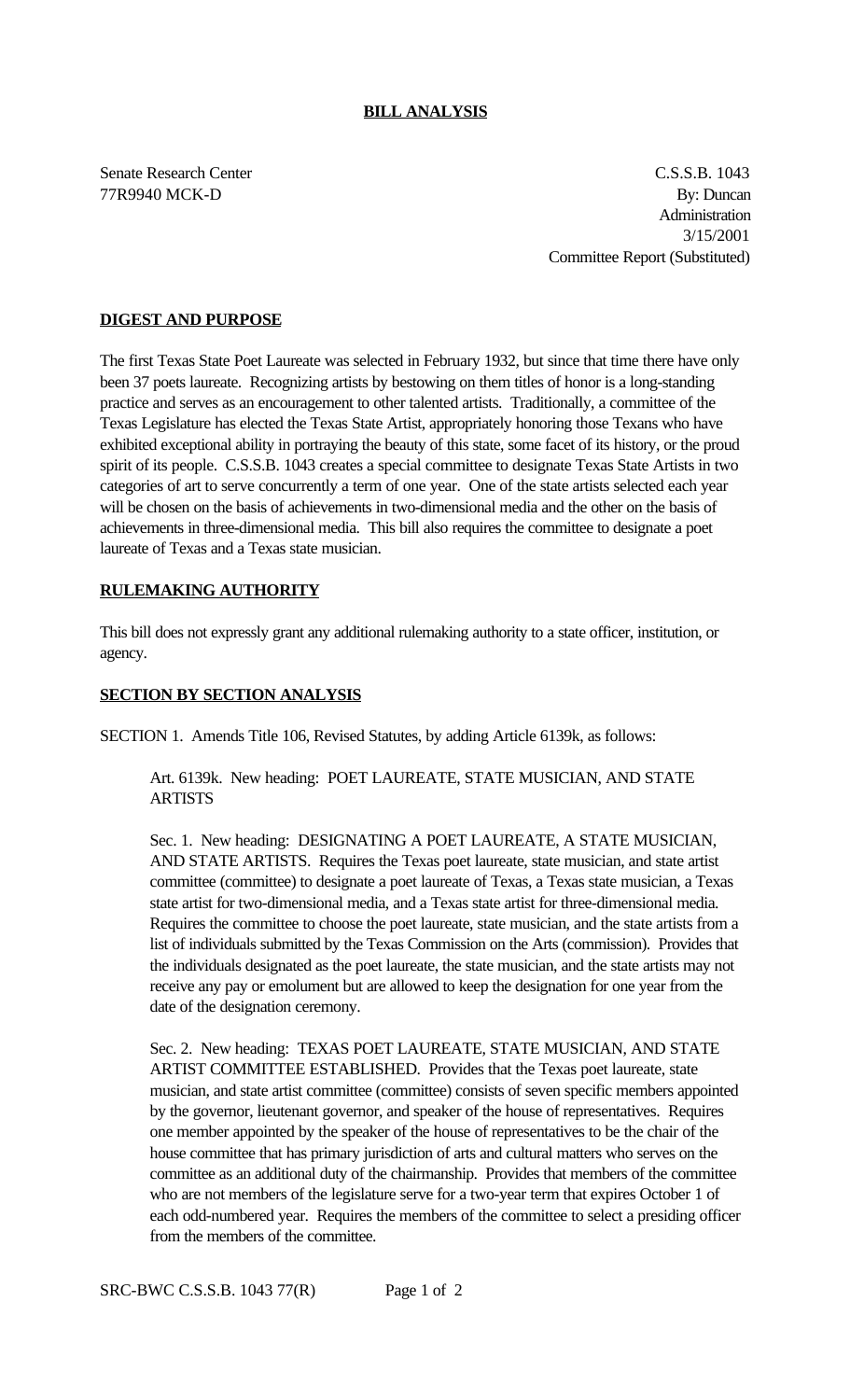## **BILL ANALYSIS**

Senate Research Center C.S.S.B. 1043 77R9940 MCK-D By: Duncan Administration 3/15/2001 Committee Report (Substituted)

# **DIGEST AND PURPOSE**

The first Texas State Poet Laureate was selected in February 1932, but since that time there have only been 37 poets laureate. Recognizing artists by bestowing on them titles of honor is a long-standing practice and serves as an encouragement to other talented artists. Traditionally, a committee of the Texas Legislature has elected the Texas State Artist, appropriately honoring those Texans who have exhibited exceptional ability in portraying the beauty of this state, some facet of its history, or the proud spirit of its people. C.S.S.B. 1043 creates a special committee to designate Texas State Artists in two categories of art to serve concurrently a term of one year. One of the state artists selected each year will be chosen on the basis of achievements in two-dimensional media and the other on the basis of achievements in three-dimensional media. This bill also requires the committee to designate a poet laureate of Texas and a Texas state musician.

# **RULEMAKING AUTHORITY**

This bill does not expressly grant any additional rulemaking authority to a state officer, institution, or agency.

## **SECTION BY SECTION ANALYSIS**

SECTION 1. Amends Title 106, Revised Statutes, by adding Article 6139k, as follows:

Art. 6139k. New heading: POET LAUREATE, STATE MUSICIAN, AND STATE **ARTISTS** 

Sec. 1. New heading: DESIGNATING A POET LAUREATE, A STATE MUSICIAN, AND STATE ARTISTS. Requires the Texas poet laureate, state musician, and state artist committee (committee) to designate a poet laureate of Texas, a Texas state musician, a Texas state artist for two-dimensional media, and a Texas state artist for three-dimensional media. Requires the committee to choose the poet laureate, state musician, and the state artists from a list of individuals submitted by the Texas Commission on the Arts (commission). Provides that the individuals designated as the poet laureate, the state musician, and the state artists may not receive any pay or emolument but are allowed to keep the designation for one year from the date of the designation ceremony.

Sec. 2. New heading: TEXAS POET LAUREATE, STATE MUSICIAN, AND STATE ARTIST COMMITTEE ESTABLISHED. Provides that the Texas poet laureate, state musician, and state artist committee (committee) consists of seven specific members appointed by the governor, lieutenant governor, and speaker of the house of representatives. Requires one member appointed by the speaker of the house of representatives to be the chair of the house committee that has primary jurisdiction of arts and cultural matters who serves on the committee as an additional duty of the chairmanship. Provides that members of the committee who are not members of the legislature serve for a two-year term that expires October 1 of each odd-numbered year. Requires the members of the committee to select a presiding officer from the members of the committee.